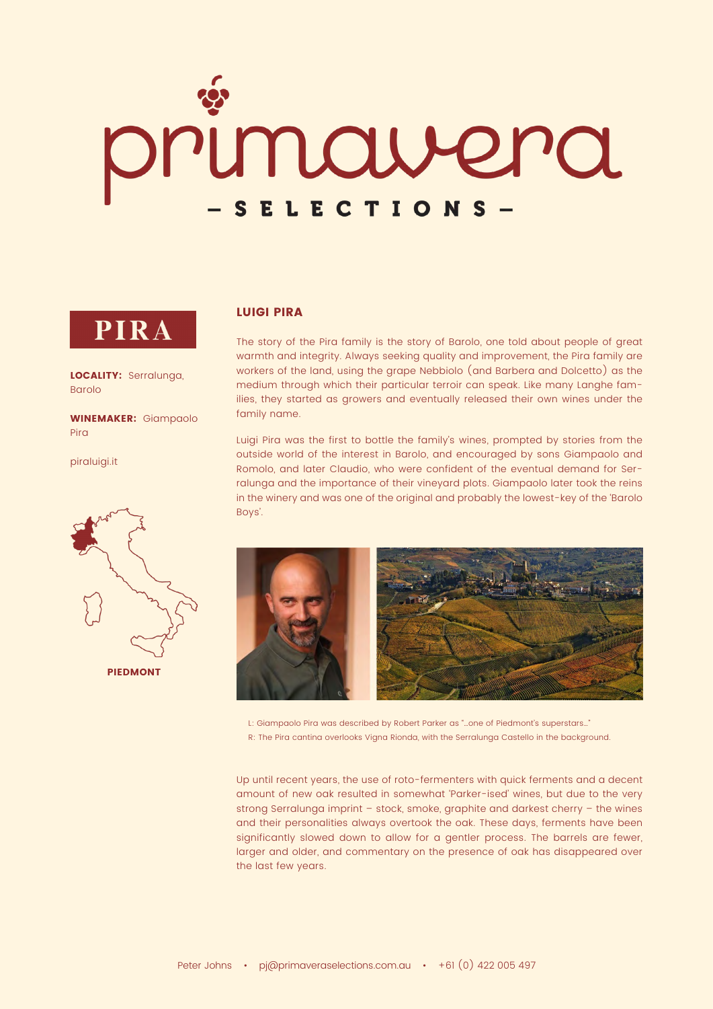# orimairera SELECTIONS-

## PIRA

LOCALITY: Serralunga, Barolo

WINEMAKER: Giampaolo Pira

[piraluigi.it](http://www.piraluigi.it/en/)



### LUIGI PIRA

The story of the Pira family is the story of Barolo, one told about people of great warmth and integrity. Always seeking quality and improvement, the Pira family are workers of the land, using the grape Nebbiolo (and Barbera and Dolcetto) as the medium through which their particular terroir can speak. Like many Langhe families, they started as growers and eventually released their own wines under the family name.

Luigi Pira was the first to bottle the family's wines, prompted by stories from the outside world of the interest in Barolo, and encouraged by sons Giampaolo and Romolo, and later Claudio, who were confident of the eventual demand for Serralunga and the importance of their vineyard plots. Giampaolo later took the reins in the winery and was one of the original and probably the lowest-key of the 'Barolo Boys'.



L: Giampaolo Pira was described by Robert Parker as "…one of Piedmont's superstars…" R: The Pira cantina overlooks Vigna Rionda, with the Serralunga Castello in the background.

Up until recent years, the use of roto-fermenters with quick ferments and a decent amount of new oak resulted in somewhat 'Parker-ised' wines, but due to the very strong Serralunga imprint – stock, smoke, graphite and darkest cherry – the wines and their personalities always overtook the oak. These days, ferments have been significantly slowed down to allow for a gentler process. The barrels are fewer, larger and older, and commentary on the presence of oak has disappeared over the last few years.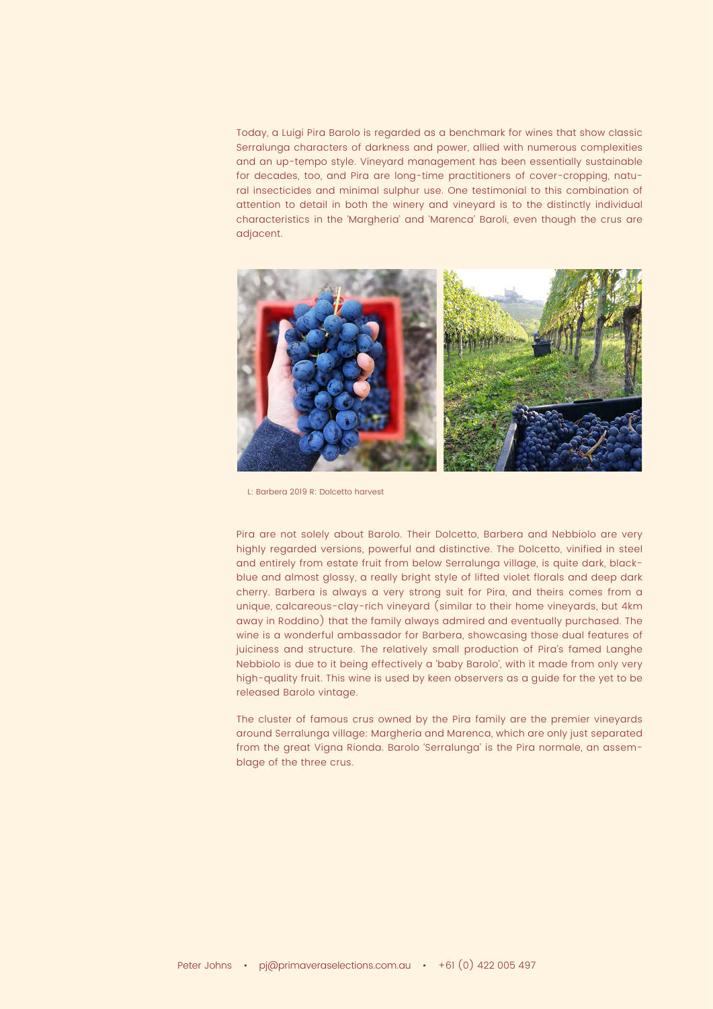Today, a Luigi Pira Barolo is regarded as a benchmark for wines that show classic Serralunga characters of darkness and power, allied with numerous complexities and an up-tempo style. Vineyard management has been essentially sustainable for decades, too, and Pira are long-time practitioners of cover-cropping, natural insecticides and minimal sulphur use. One testimonial to this combination of attention to detail in both the winery and vineyard is to the distinctly individual characteristics in the 'Margheria' and 'Marenca' Baroli, even though the crus are adjacent.



L: Barbera 2019 R: Dolcetto harvest

Pira are not solely about Barolo. Their Dolcetto, Barbera and Nebbiolo are very highly regarded versions, powerful and distinctive. The Dolcetto, vinified in steel and entirely from estate fruit from below Serralunga village, is quite dark, blackblue and almost glossy, a really bright style of lifted violet florals and deep dark cherry. Barbera is always a very strong suit for Pira, and theirs comes from a unique, calcareous-clay-rich vineyard (similar to their home vineyards, but 4km away in Roddino) that the family always admired and eventually purchased. The wine is a wonderful ambassador for Barbera, showcasing those dual features of juiciness and structure. The relatively small production of Pira's famed Langhe Nebbiolo is due to it being effectively a 'baby Barolo', with it made from only very high-quality fruit. This wine is used by keen observers as a guide for the yet to be released Barolo vintage.

The cluster of famous crus owned by the Pira family are the premier vineyards around Serralunga village: Margheria and Marenca, which are only just separated from the great Vigna Rionda. Barolo 'Serralunga' is the Pira normale, an assemblage of the three crus.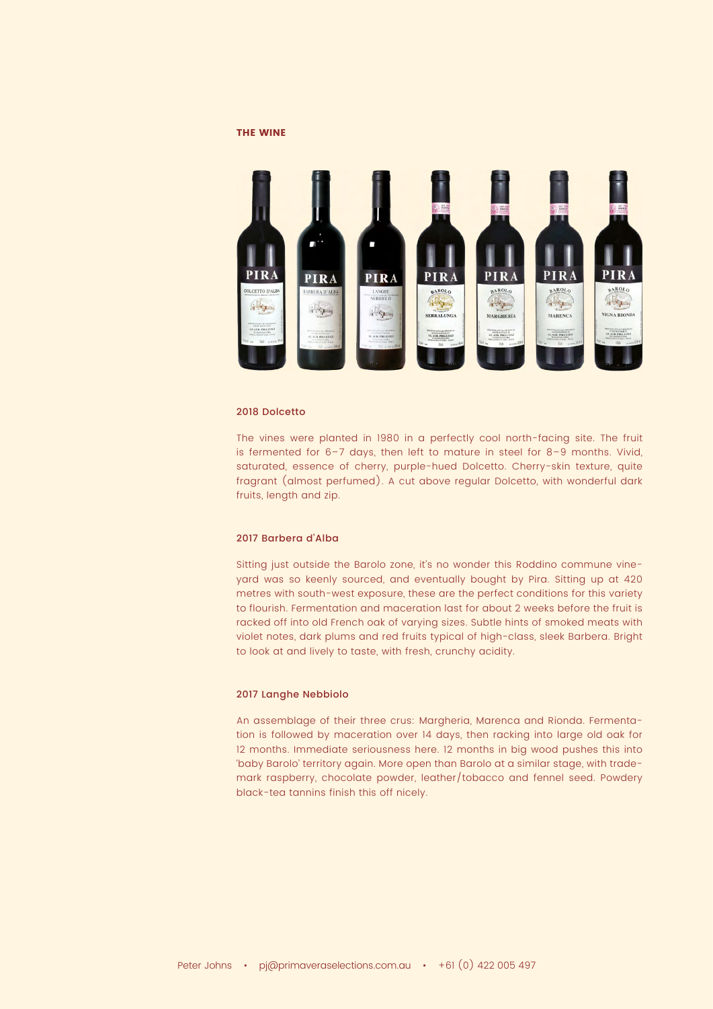#### THE WINE



#### 2018 Dolcetto

The vines were planted in 1980 in a perfectly cool north-facing site. The fruit is fermented for 6–7 days, then left to mature in steel for 8–9 months. Vivid, saturated, essence of cherry, purple-hued Dolcetto. Cherry-skin texture, quite fragrant (almost perfumed). A cut above regular Dolcetto, with wonderful dark fruits, length and zip.

#### 2017 Barbera d'Alba

Sitting just outside the Barolo zone, it's no wonder this Roddino commune vineyard was so keenly sourced, and eventually bought by Pira. Sitting up at 420 metres with south-west exposure, these are the perfect conditions for this variety to flourish. Fermentation and maceration last for about 2 weeks before the fruit is racked off into old French oak of varying sizes. Subtle hints of smoked meats with violet notes, dark plums and red fruits typical of high-class, sleek Barbera. Bright to look at and lively to taste, with fresh, crunchy acidity.

#### 2017 Langhe Nebbiolo

An assemblage of their three crus: Margheria, Marenca and Rionda. Fermentation is followed by maceration over 14 days, then racking into large old oak for 12 months. Immediate seriousness here. 12 months in big wood pushes this into 'baby Barolo' territory again. More open than Barolo at a similar stage, with trademark raspberry, chocolate powder, leather/tobacco and fennel seed. Powdery black-tea tannins finish this off nicely.